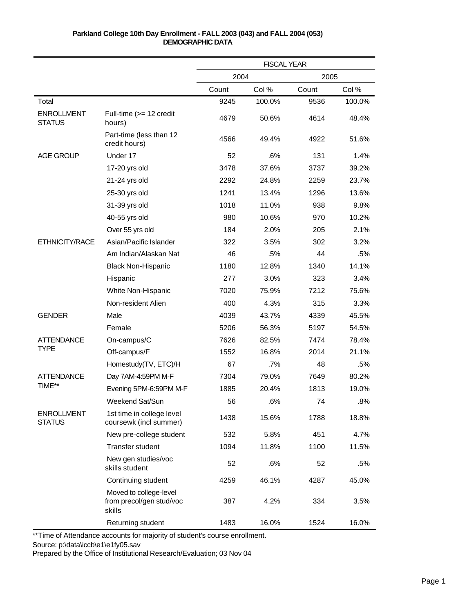|                                    |                                                              | <b>FISCAL YEAR</b> |        |       |        |
|------------------------------------|--------------------------------------------------------------|--------------------|--------|-------|--------|
|                                    |                                                              | 2004               |        | 2005  |        |
|                                    |                                                              | Count              | Col %  | Count | Col %  |
| Total                              |                                                              | 9245               | 100.0% | 9536  | 100.0% |
| <b>ENROLLMENT</b><br><b>STATUS</b> | Full-time $(>= 12$ credit<br>hours)                          | 4679               | 50.6%  | 4614  | 48.4%  |
|                                    | Part-time (less than 12<br>credit hours)                     | 4566               | 49.4%  | 4922  | 51.6%  |
| <b>AGE GROUP</b>                   | Under 17                                                     | 52                 | .6%    | 131   | 1.4%   |
|                                    | 17-20 yrs old                                                | 3478               | 37.6%  | 3737  | 39.2%  |
|                                    | 21-24 yrs old                                                | 2292               | 24.8%  | 2259  | 23.7%  |
|                                    | 25-30 yrs old                                                | 1241               | 13.4%  | 1296  | 13.6%  |
|                                    | 31-39 yrs old                                                | 1018               | 11.0%  | 938   | 9.8%   |
|                                    | 40-55 yrs old                                                | 980                | 10.6%  | 970   | 10.2%  |
|                                    | Over 55 yrs old                                              | 184                | 2.0%   | 205   | 2.1%   |
| ETHNICITY/RACE                     | Asian/Pacific Islander                                       | 322                | 3.5%   | 302   | 3.2%   |
|                                    | Am Indian/Alaskan Nat                                        | 46                 | .5%    | 44    | .5%    |
|                                    | <b>Black Non-Hispanic</b>                                    | 1180               | 12.8%  | 1340  | 14.1%  |
|                                    | Hispanic                                                     | 277                | 3.0%   | 323   | 3.4%   |
|                                    | White Non-Hispanic                                           | 7020               | 75.9%  | 7212  | 75.6%  |
|                                    | Non-resident Alien                                           | 400                | 4.3%   | 315   | 3.3%   |
| <b>GENDER</b>                      | Male                                                         | 4039               | 43.7%  | 4339  | 45.5%  |
|                                    | Female                                                       | 5206               | 56.3%  | 5197  | 54.5%  |
| <b>ATTENDANCE</b>                  | On-campus/C                                                  | 7626               | 82.5%  | 7474  | 78.4%  |
| <b>TYPE</b>                        | Off-campus/F                                                 | 1552               | 16.8%  | 2014  | 21.1%  |
|                                    | Homestudy(TV, ETC)/H                                         | 67                 | .7%    | 48    | .5%    |
| <b>ATTENDANCE</b>                  | Day 7AM-4:59PM M-F                                           | 7304               | 79.0%  | 7649  | 80.2%  |
| TIME**                             | Evening 5PM-6:59PM M-F                                       | 1885               | 20.4%  | 1813  | 19.0%  |
|                                    | Weekend Sat/Sun                                              | 56                 | .6%    | 74    | .8%    |
| <b>ENROLLMENT</b><br><b>STATUS</b> | 1st time in college level<br>coursewk (incl summer)          | 1438               | 15.6%  | 1788  | 18.8%  |
|                                    | New pre-college student                                      | 532                | 5.8%   | 451   | 4.7%   |
|                                    | Transfer student                                             | 1094               | 11.8%  | 1100  | 11.5%  |
|                                    | New gen studies/voc<br>skills student                        | 52                 | .6%    | 52    | .5%    |
|                                    | Continuing student                                           | 4259               | 46.1%  | 4287  | 45.0%  |
|                                    | Moved to college-level<br>from precol/gen stud/voc<br>skills | 387                | 4.2%   | 334   | 3.5%   |
|                                    | Returning student                                            | 1483               | 16.0%  | 1524  | 16.0%  |

\*\*Time of Attendance accounts for majority of student's course enrollment.

Source: p:\data\iccb\e1\e1fy05.sav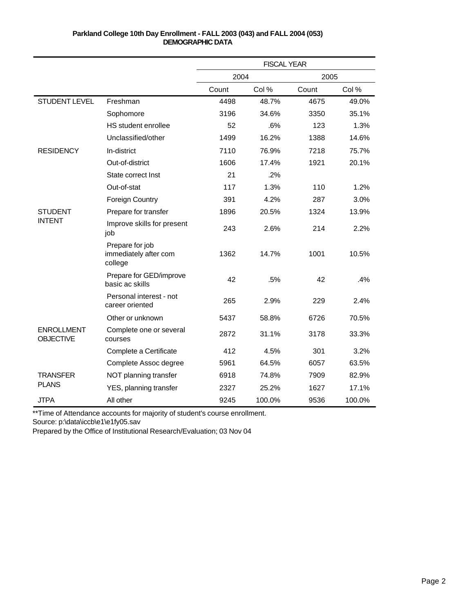|                                       |                                                     | <b>FISCAL YEAR</b> |        |       |        |
|---------------------------------------|-----------------------------------------------------|--------------------|--------|-------|--------|
|                                       |                                                     | 2004               |        | 2005  |        |
|                                       |                                                     | Count              | Col %  | Count | Col %  |
| <b>STUDENT LEVEL</b>                  | Freshman                                            | 4498               | 48.7%  | 4675  | 49.0%  |
|                                       | Sophomore                                           | 3196               | 34.6%  | 3350  | 35.1%  |
|                                       | HS student enrollee                                 | 52                 | .6%    | 123   | 1.3%   |
|                                       | Unclassified/other                                  | 1499               | 16.2%  | 1388  | 14.6%  |
| <b>RESIDENCY</b>                      | In-district                                         | 7110               | 76.9%  | 7218  | 75.7%  |
|                                       | Out-of-district                                     | 1606               | 17.4%  | 1921  | 20.1%  |
|                                       | State correct Inst                                  | 21                 | .2%    |       |        |
|                                       | Out-of-stat                                         | 117                | 1.3%   | 110   | 1.2%   |
|                                       | <b>Foreign Country</b>                              | 391                | 4.2%   | 287   | 3.0%   |
| <b>STUDENT</b>                        | Prepare for transfer                                | 1896               | 20.5%  | 1324  | 13.9%  |
| <b>INTENT</b>                         | Improve skills for present<br>job                   | 243                | 2.6%   | 214   | 2.2%   |
|                                       | Prepare for job<br>immediately after com<br>college | 1362               | 14.7%  | 1001  | 10.5%  |
|                                       | Prepare for GED/improve<br>basic ac skills          | 42                 | .5%    | 42    | .4%    |
|                                       | Personal interest - not<br>career oriented          | 265                | 2.9%   | 229   | 2.4%   |
|                                       | Other or unknown                                    | 5437               | 58.8%  | 6726  | 70.5%  |
| <b>ENROLLMENT</b><br><b>OBJECTIVE</b> | Complete one or several<br>courses                  | 2872               | 31.1%  | 3178  | 33.3%  |
|                                       | Complete a Certificate                              | 412                | 4.5%   | 301   | 3.2%   |
|                                       | Complete Assoc degree                               | 5961               | 64.5%  | 6057  | 63.5%  |
| <b>TRANSFER</b>                       | NOT planning transfer                               | 6918               | 74.8%  | 7909  | 82.9%  |
| <b>PLANS</b>                          | YES, planning transfer                              | 2327               | 25.2%  | 1627  | 17.1%  |
| <b>JTPA</b>                           | All other                                           | 9245               | 100.0% | 9536  | 100.0% |

\*\*Time of Attendance accounts for majority of student's course enrollment.

Source: p:\data\iccb\e1\e1fy05.sav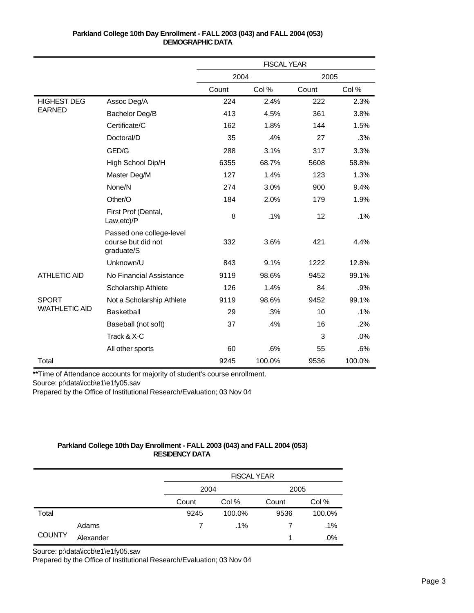|                       |                                                              | <b>FISCAL YEAR</b> |        |       |        |
|-----------------------|--------------------------------------------------------------|--------------------|--------|-------|--------|
|                       |                                                              | 2004               |        | 2005  |        |
|                       |                                                              | Count              | Col %  | Count | Col %  |
| <b>HIGHEST DEG</b>    | Assoc Deg/A                                                  | 224                | 2.4%   | 222   | 2.3%   |
| <b>EARNED</b>         | Bachelor Deg/B                                               | 413                | 4.5%   | 361   | 3.8%   |
|                       | Certificate/C                                                | 162                | 1.8%   | 144   | 1.5%   |
|                       | Doctoral/D                                                   | 35                 | .4%    | 27    | .3%    |
|                       | GED/G                                                        | 288                | 3.1%   | 317   | 3.3%   |
|                       | High School Dip/H                                            | 6355               | 68.7%  | 5608  | 58.8%  |
|                       | Master Deg/M                                                 | 127                | 1.4%   | 123   | 1.3%   |
|                       | None/N                                                       | 274                | 3.0%   | 900   | 9.4%   |
|                       | Other/O                                                      | 184                | 2.0%   | 179   | 1.9%   |
|                       | First Prof (Dental,<br>Law, etc)/P                           | 8                  | .1%    | 12    | .1%    |
|                       | Passed one college-level<br>course but did not<br>graduate/S | 332                | 3.6%   | 421   | 4.4%   |
|                       | Unknown/U                                                    | 843                | 9.1%   | 1222  | 12.8%  |
| <b>ATHLETIC AID</b>   | No Financial Assistance                                      | 9119               | 98.6%  | 9452  | 99.1%  |
|                       | Scholarship Athlete                                          | 126                | 1.4%   | 84    | .9%    |
| <b>SPORT</b>          | Not a Scholarship Athlete                                    | 9119               | 98.6%  | 9452  | 99.1%  |
| <b>W/ATHLETIC AID</b> | Basketball                                                   | 29                 | .3%    | 10    | .1%    |
|                       | Baseball (not soft)                                          | 37                 | .4%    | 16    | .2%    |
|                       | Track & X-C                                                  |                    |        | 3     | .0%    |
|                       | All other sports                                             | 60                 | .6%    | 55    | .6%    |
| Total                 |                                                              | 9245               | 100.0% | 9536  | 100.0% |

\*\*Time of Attendance accounts for majority of student's course enrollment.

Source: p:\data\iccb\e1\e1fy05.sav

Prepared by the Office of Institutional Research/Evaluation; 03 Nov 04

# **Parkland College 10th Day Enrollment - FALL 2003 (043) and FALL 2004 (053) RESIDENCY DATA**

|               |           |       | <b>FISCAL YEAR</b> |       |        |  |  |
|---------------|-----------|-------|--------------------|-------|--------|--|--|
|               |           | 2004  |                    | 2005  |        |  |  |
|               |           | Count | Col %              | Count | Col %  |  |  |
| Total         |           | 9245  | 100.0%             | 9536  | 100.0% |  |  |
| <b>COUNTY</b> | Adams     |       | $.1\%$             |       | .1%    |  |  |
|               | Alexander |       |                    |       | .0%    |  |  |

Source: p:\data\iccb\e1\e1fy05.sav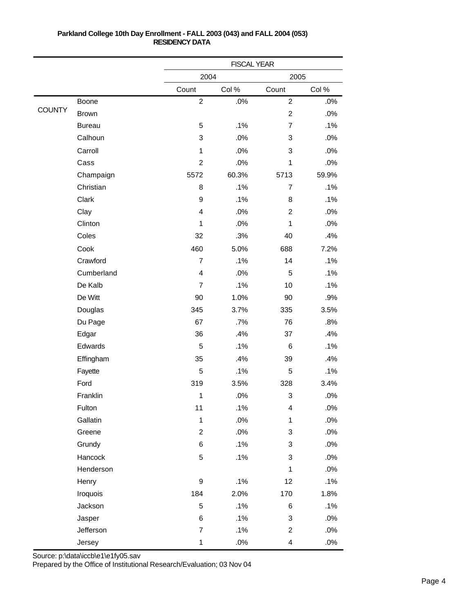|               |               |                         | <b>FISCAL YEAR</b> |                           |        |  |
|---------------|---------------|-------------------------|--------------------|---------------------------|--------|--|
|               |               | 2004                    |                    | 2005                      |        |  |
|               |               | Count                   | Col %              | Count                     | Col%   |  |
|               | Boone         | $\overline{c}$          | .0%                | $\overline{2}$            | .0%    |  |
| <b>COUNTY</b> | <b>Brown</b>  |                         |                    | $\overline{c}$            | .0%    |  |
|               | <b>Bureau</b> | 5                       | .1%                | $\overline{7}$            | .1%    |  |
|               | Calhoun       | 3                       | .0%                | 3                         | .0%    |  |
|               | Carroll       | 1                       | .0%                | 3                         | .0%    |  |
|               | Cass          | $\overline{c}$          | .0%                | 1                         | .0%    |  |
|               | Champaign     | 5572                    | 60.3%              | 5713                      | 59.9%  |  |
|               | Christian     | 8                       | .1%                | $\overline{7}$            | .1%    |  |
|               | Clark         | $\boldsymbol{9}$        | .1%                | 8                         | .1%    |  |
|               | Clay          | $\overline{\mathbf{4}}$ | .0%                | $\overline{2}$            | .0%    |  |
|               | Clinton       | 1                       | .0%                | 1                         | .0%    |  |
|               | Coles         | 32                      | .3%                | 40                        | .4%    |  |
|               | Cook          | 460                     | 5.0%               | 688                       | 7.2%   |  |
|               | Crawford      | $\overline{7}$          | .1%                | 14                        | .1%    |  |
|               | Cumberland    | $\overline{4}$          | .0%                | 5                         | .1%    |  |
|               | De Kalb       | $\overline{7}$          | .1%                | 10                        | .1%    |  |
|               | De Witt       | 90                      | 1.0%               | 90                        | .9%    |  |
|               | Douglas       | 345                     | 3.7%               | 335                       | 3.5%   |  |
|               | Du Page       | 67                      | .7%                | 76                        | .8%    |  |
|               | Edgar         | 36                      | .4%                | 37                        | .4%    |  |
|               | Edwards       | 5                       | .1%                | 6                         | .1%    |  |
|               | Effingham     | 35                      | .4%                | 39                        | .4%    |  |
|               | Fayette       | 5                       | .1%                | 5                         | .1%    |  |
|               | Ford          | 319                     | 3.5%               | 328                       | 3.4%   |  |
|               | Franklin      | 1                       | .0%                | 3                         | .0%    |  |
|               | Fulton        | 11                      | .1%                | 4                         | .0%    |  |
|               | Gallatin      | $\mathbf 1$             | $.0\%$             | $\mathbf{1}$              | .0%    |  |
|               | Greene        | $\overline{2}$          | $.0\%$             | $\ensuremath{\mathsf{3}}$ | $.0\%$ |  |
|               | Grundy        | 6                       | .1%                | 3                         | .0%    |  |
|               | Hancock       | 5                       | .1%                | 3                         | .0%    |  |
|               | Henderson     |                         |                    | 1                         | .0%    |  |
|               | Henry         | $\boldsymbol{9}$        | .1%                | 12                        | .1%    |  |
|               | Iroquois      | 184                     | 2.0%               | 170                       | 1.8%   |  |
|               | Jackson       | $\sqrt{5}$              | .1%                | 6                         | .1%    |  |
|               | Jasper        | 6                       | .1%                | 3                         | .0%    |  |
|               | Jefferson     | $\overline{7}$          | .1%                | $\overline{2}$            | .0%    |  |
|               | Jersey        | $\mathbf 1$             | $.0\%$             | $\overline{\mathbf{4}}$   | $.0\%$ |  |

Source: p:\data\iccb\e1\e1fy05.sav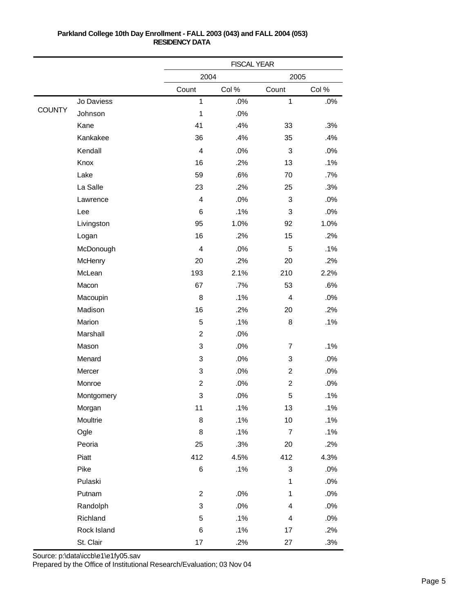|               |             |                         | <b>FISCAL YEAR</b> |                         |        |  |
|---------------|-------------|-------------------------|--------------------|-------------------------|--------|--|
|               |             | 2004                    |                    | 2005                    |        |  |
|               |             | Count                   | Col %              | Count                   | Col%   |  |
|               | Jo Daviess  | $\mathbf{1}$            | .0%                | $\mathbf 1$             | .0%    |  |
| <b>COUNTY</b> | Johnson     | 1                       | .0%                |                         |        |  |
|               | Kane        | 41                      | .4%                | 33                      | .3%    |  |
|               | Kankakee    | 36                      | .4%                | 35                      | .4%    |  |
|               | Kendall     | $\overline{\mathbf{4}}$ | .0%                | 3                       | .0%    |  |
|               | Knox        | 16                      | .2%                | 13                      | .1%    |  |
|               | Lake        | 59                      | .6%                | 70                      | .7%    |  |
|               | La Salle    | 23                      | .2%                | 25                      | .3%    |  |
|               | Lawrence    | 4                       | .0%                | 3                       | .0%    |  |
|               | Lee         | 6                       | .1%                | 3                       | .0%    |  |
|               | Livingston  | 95                      | 1.0%               | 92                      | 1.0%   |  |
|               | Logan       | 16                      | .2%                | 15                      | .2%    |  |
|               | McDonough   | 4                       | .0%                | 5                       | .1%    |  |
|               | McHenry     | 20                      | .2%                | 20                      | .2%    |  |
|               | McLean      | 193                     | 2.1%               | 210                     | 2.2%   |  |
|               | Macon       | 67                      | .7%                | 53                      | .6%    |  |
|               | Macoupin    | 8                       | .1%                | 4                       | .0%    |  |
|               | Madison     | 16                      | .2%                | 20                      | .2%    |  |
|               | Marion      | 5                       | .1%                | 8                       | .1%    |  |
|               | Marshall    | $\overline{c}$          | .0%                |                         |        |  |
|               | Mason       | 3                       | .0%                | $\overline{7}$          | .1%    |  |
|               | Menard      | 3                       | .0%                | 3                       | .0%    |  |
|               | Mercer      | 3                       | .0%                | $\overline{2}$          | .0%    |  |
|               | Monroe      | $\overline{c}$          | .0%                | $\overline{c}$          | .0%    |  |
|               | Montgomery  | 3                       | .0%                | 5                       | .1%    |  |
|               | Morgan      | 11                      | .1%                | 13                      | .1%    |  |
|               | Moultrie    | 8                       | .1%                | $10$                    | .1%    |  |
|               | Ogle        | 8                       | .1%                | $\boldsymbol{7}$        | .1%    |  |
|               | Peoria      | 25                      | .3%                | 20                      | .2%    |  |
|               | Piatt       | 412                     | 4.5%               | 412                     | 4.3%   |  |
|               | Pike        | 6                       | .1%                | $\mathfrak{S}$          | $.0\%$ |  |
|               | Pulaski     |                         |                    | 1                       | .0%    |  |
|               | Putnam      | $\overline{c}$          | $.0\%$             | $\mathbf{1}$            | .0%    |  |
|               | Randolph    | 3                       | $.0\%$             | 4                       | .0%    |  |
|               | Richland    | 5                       | .1%                | $\overline{\mathbf{4}}$ | .0%    |  |
|               | Rock Island | 6                       | .1%                | 17                      | .2%    |  |
|               | St. Clair   | 17                      | .2%                | 27                      | .3%    |  |

Source: p:\data\iccb\e1\e1fy05.sav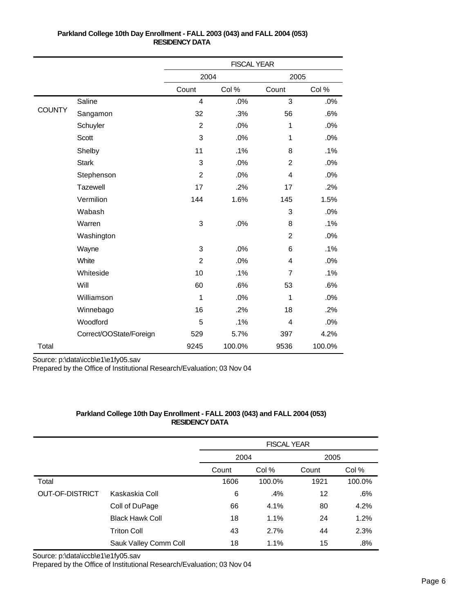|               |                         | <b>FISCAL YEAR</b> |        |                |        |
|---------------|-------------------------|--------------------|--------|----------------|--------|
|               |                         | 2004               |        | 2005           |        |
|               |                         | Count              | Col %  | Count          | Col %  |
|               | Saline                  | $\overline{4}$     | .0%    | 3              | .0%    |
| <b>COUNTY</b> | Sangamon                | 32                 | .3%    | 56             | .6%    |
|               | Schuyler                | $\overline{2}$     | .0%    | 1              | .0%    |
|               | Scott                   | 3                  | .0%    | 1              | .0%    |
|               | Shelby                  | 11                 | .1%    | 8              | .1%    |
|               | <b>Stark</b>            | 3                  | .0%    | $\overline{2}$ | .0%    |
|               | Stephenson              | $\overline{2}$     | .0%    | $\overline{4}$ | .0%    |
|               | <b>Tazewell</b>         | 17                 | .2%    | 17             | .2%    |
|               | Vermilion               | 144                | 1.6%   | 145            | 1.5%   |
|               | Wabash                  |                    |        | 3              | .0%    |
|               | Warren                  | 3                  | .0%    | 8              | .1%    |
|               | Washington              |                    |        | $\overline{2}$ | .0%    |
|               | Wayne                   | 3                  | .0%    | 6              | .1%    |
|               | White                   | $\overline{2}$     | .0%    | 4              | .0%    |
|               | Whiteside               | 10                 | .1%    | $\overline{7}$ | .1%    |
|               | Will                    | 60                 | .6%    | 53             | .6%    |
|               | Williamson              | 1                  | .0%    | 1              | .0%    |
|               | Winnebago               | 16                 | .2%    | 18             | .2%    |
|               | Woodford                | 5                  | .1%    | 4              | .0%    |
|               | Correct/OOState/Foreign | 529                | 5.7%   | 397            | 4.2%   |
| Total         |                         | 9245               | 100.0% | 9536           | 100.0% |

Source: p:\data\iccb\e1\e1fy05.sav

Prepared by the Office of Institutional Research/Evaluation; 03 Nov 04

# **Parkland College 10th Day Enrollment - FALL 2003 (043) and FALL 2004 (053) RESIDENCY DATA**

|                 |                        | <b>FISCAL YEAR</b> |        |       |        |
|-----------------|------------------------|--------------------|--------|-------|--------|
|                 |                        | 2004               |        | 2005  |        |
|                 |                        | Count              | Col %  | Count | Col %  |
| Total           |                        | 1606               | 100.0% | 1921  | 100.0% |
| OUT-OF-DISTRICT | Kaskaskia Coll         | 6                  | .4%    | 12    | .6%    |
|                 | Coll of DuPage         | 66                 | 4.1%   | 80    | 4.2%   |
|                 | <b>Black Hawk Coll</b> | 18                 | 1.1%   | 24    | 1.2%   |
|                 | <b>Triton Coll</b>     | 43                 | 2.7%   | 44    | 2.3%   |
|                 | Sauk Valley Comm Coll  | 18                 | 1.1%   | 15    | .8%    |

Source: p:\data\iccb\e1\e1fy05.sav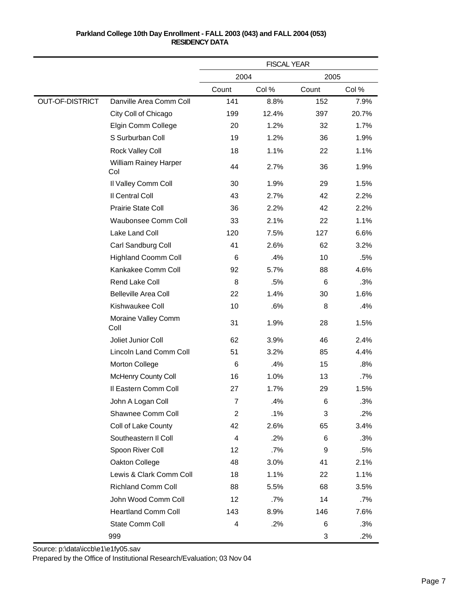|                        |                                     |       | <b>FISCAL YEAR</b> |       |        |
|------------------------|-------------------------------------|-------|--------------------|-------|--------|
|                        |                                     | 2004  |                    | 2005  |        |
|                        |                                     | Count | Col %              | Count | Col %  |
| <b>OUT-OF-DISTRICT</b> | Danville Area Comm Coll             | 141   | 8.8%               | 152   | 7.9%   |
|                        | City Coll of Chicago                | 199   | 12.4%              | 397   | 20.7%  |
|                        | Elgin Comm College                  | 20    | 1.2%               | 32    | 1.7%   |
|                        | S Surburban Coll                    | 19    | 1.2%               | 36    | 1.9%   |
|                        | Rock Valley Coll                    | 18    | 1.1%               | 22    | 1.1%   |
|                        | <b>William Rainey Harper</b><br>Col | 44    | 2.7%               | 36    | 1.9%   |
|                        | Il Valley Comm Coll                 | 30    | 1.9%               | 29    | 1.5%   |
|                        | Il Central Coll                     | 43    | 2.7%               | 42    | 2.2%   |
|                        | Prairie State Coll                  | 36    | 2.2%               | 42    | 2.2%   |
|                        | Waubonsee Comm Coll                 | 33    | 2.1%               | 22    | 1.1%   |
|                        | Lake Land Coll                      | 120   | 7.5%               | 127   | 6.6%   |
|                        | Carl Sandburg Coll                  | 41    | 2.6%               | 62    | 3.2%   |
|                        | <b>Highland Coomm Coll</b>          | 6     | .4%                | 10    | .5%    |
|                        | Kankakee Comm Coll                  | 92    | 5.7%               | 88    | 4.6%   |
|                        | Rend Lake Coll                      | 8     | .5%                | 6     | .3%    |
|                        | <b>Belleville Area Coll</b>         | 22    | 1.4%               | 30    | 1.6%   |
|                        | Kishwaukee Coll                     | 10    | .6%                | 8     | .4%    |
|                        | Moraine Valley Comm<br>Coll         | 31    | 1.9%               | 28    | 1.5%   |
|                        | Joliet Junior Coll                  | 62    | 3.9%               | 46    | 2.4%   |
|                        | Lincoln Land Comm Coll              | 51    | 3.2%               | 85    | 4.4%   |
|                        | Morton College                      | 6     | .4%                | 15    | .8%    |
|                        | McHenry County Coll                 | 16    | 1.0%               | 13    | $.7\%$ |
|                        | Il Eastern Comm Coll                | 27    | 1.7%               | 29    | 1.5%   |
|                        | John A Logan Coll                   | 7     | .4%                | 6     | .3%    |
|                        | Shawnee Comm Coll                   | 2     | .1%                | 3     | .2%    |
|                        | Coll of Lake County                 | 42    | 2.6%               | 65    | 3.4%   |
|                        | Southeastern II Coll                | 4     | .2%                | 6     | .3%    |
|                        | Spoon River Coll                    | 12    | .7%                | 9     | .5%    |
|                        | Oakton College                      | 48    | 3.0%               | 41    | 2.1%   |
|                        | Lewis & Clark Comm Coll             | 18    | 1.1%               | 22    | 1.1%   |
|                        | Richland Comm Coll                  | 88    | 5.5%               | 68    | 3.5%   |
|                        | John Wood Comm Coll                 | 12    | .7%                | 14    | .7%    |
|                        | <b>Heartland Comm Coll</b>          | 143   | 8.9%               | 146   | 7.6%   |
|                        | State Comm Coll                     | 4     | .2%                | 6     | .3%    |
|                        | 999                                 |       |                    | 3     | .2%    |

Source: p:\data\iccb\e1\e1fy05.sav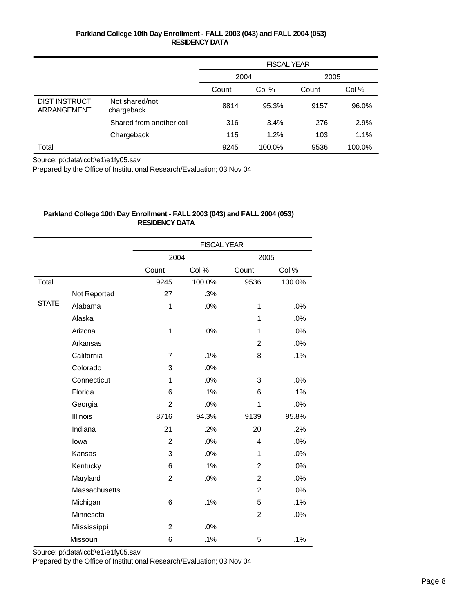|                                     |                              | <b>FISCAL YEAR</b> |        |       |        |
|-------------------------------------|------------------------------|--------------------|--------|-------|--------|
|                                     |                              | 2004               |        | 2005  |        |
|                                     |                              | Count              | Col %  | Count | Col %  |
| <b>DIST INSTRUCT</b><br>ARRANGEMENT | Not shared/not<br>chargeback | 8814               | 95.3%  | 9157  | 96.0%  |
|                                     | Shared from another coll     | 316                | 3.4%   | 276   | 2.9%   |
|                                     | Chargeback                   | 115                | 1.2%   | 103   | 1.1%   |
| Total                               |                              | 9245               | 100.0% | 9536  | 100.0% |

Source: p:\data\iccb\e1\e1fy05.sav

Prepared by the Office of Institutional Research/Evaluation; 03 Nov 04

## **Parkland College 10th Day Enrollment - FALL 2003 (043) and FALL 2004 (053) RESIDENCY DATA**

|              |               | <b>FISCAL YEAR</b> |        |                |        |  |
|--------------|---------------|--------------------|--------|----------------|--------|--|
|              |               | 2004               |        | 2005           |        |  |
|              |               | Count              | Col %  | Count          | Col %  |  |
| Total        |               | 9245               | 100.0% | 9536           | 100.0% |  |
|              | Not Reported  | 27                 | .3%    |                |        |  |
| <b>STATE</b> | Alabama       | 1                  | .0%    | 1              | .0%    |  |
|              | Alaska        |                    |        | 1              | .0%    |  |
|              | Arizona       | 1                  | .0%    | 1              | .0%    |  |
|              | Arkansas      |                    |        | 2              | .0%    |  |
|              | California    | 7                  | .1%    | 8              | .1%    |  |
|              | Colorado      | 3                  | .0%    |                |        |  |
|              | Connecticut   | 1                  | .0%    | 3              | .0%    |  |
|              | Florida       | 6                  | .1%    | 6              | .1%    |  |
|              | Georgia       | $\overline{2}$     | .0%    | 1              | .0%    |  |
|              | Illinois      | 8716               | 94.3%  | 9139           | 95.8%  |  |
|              | Indiana       | 21                 | .2%    | 20             | .2%    |  |
|              | lowa          | $\overline{2}$     | .0%    | 4              | .0%    |  |
|              | Kansas        | 3                  | .0%    | 1              | .0%    |  |
|              | Kentucky      | 6                  | .1%    | $\overline{2}$ | .0%    |  |
|              | Maryland      | $\overline{2}$     | .0%    | 2              | .0%    |  |
|              | Massachusetts |                    |        | $\overline{2}$ | .0%    |  |
|              | Michigan      | 6                  | .1%    | 5              | .1%    |  |
|              | Minnesota     |                    |        | $\overline{2}$ | .0%    |  |
|              | Mississippi   | $\overline{c}$     | .0%    |                |        |  |
|              | Missouri      | 6                  | .1%    | 5              | .1%    |  |

Source: p:\data\iccb\e1\e1fy05.sav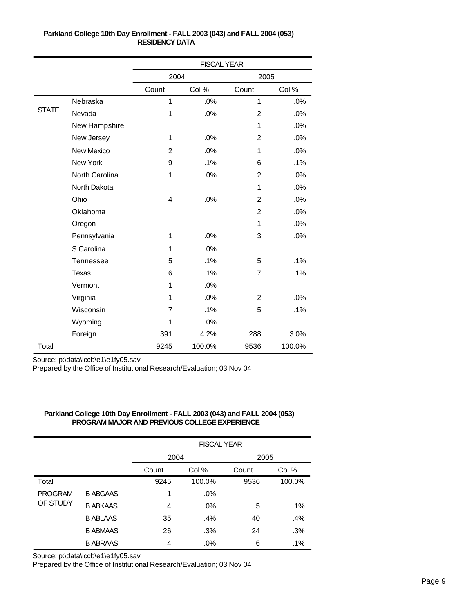|              |                   |                | <b>FISCAL YEAR</b> |                |        |
|--------------|-------------------|----------------|--------------------|----------------|--------|
|              |                   | 2004           |                    | 2005           |        |
|              |                   | Count          | Col %              | Count          | Col %  |
|              | Nebraska          | 1              | .0%                | 1              | .0%    |
| <b>STATE</b> | Nevada            | $\mathbf{1}$   | .0%                | $\overline{2}$ | .0%    |
|              | New Hampshire     |                |                    | 1              | .0%    |
|              | New Jersey        | 1              | .0%                | $\overline{2}$ | .0%    |
|              | <b>New Mexico</b> | $\overline{2}$ | .0%                | 1              | .0%    |
|              | New York          | 9              | .1%                | 6              | .1%    |
|              | North Carolina    | 1              | .0%                | $\overline{c}$ | .0%    |
|              | North Dakota      |                |                    | 1              | .0%    |
|              | Ohio              | 4              | .0%                | $\overline{2}$ | .0%    |
|              | Oklahoma          |                |                    | $\overline{2}$ | .0%    |
|              | Oregon            |                |                    | 1              | .0%    |
|              | Pennsylvania      | 1              | .0%                | 3              | .0%    |
|              | S Carolina        | 1              | .0%                |                |        |
|              | Tennessee         | 5              | .1%                | 5              | .1%    |
|              | Texas             | 6              | .1%                | 7              | .1%    |
|              | Vermont           | 1              | .0%                |                |        |
|              | Virginia          | 1              | .0%                | $\overline{2}$ | .0%    |
|              | Wisconsin         | 7              | .1%                | 5              | .1%    |
|              | Wyoming           | 1              | .0%                |                |        |
|              | Foreign           | 391            | 4.2%               | 288            | 3.0%   |
| Total        |                   | 9245           | 100.0%             | 9536           | 100.0% |

Source: p:\data\iccb\e1\e1fy05.sav

Prepared by the Office of Institutional Research/Evaluation; 03 Nov 04

|                            |                 |       | <b>FISCAL YEAR</b> |       |        |  |  |  |
|----------------------------|-----------------|-------|--------------------|-------|--------|--|--|--|
|                            |                 | 2004  |                    | 2005  |        |  |  |  |
|                            |                 | Count | Col %              | Count | Col %  |  |  |  |
| Total                      |                 | 9245  | 100.0%             | 9536  | 100.0% |  |  |  |
| <b>PROGRAM</b><br>OF STUDY | <b>B ABGAAS</b> | 1     | .0%                |       |        |  |  |  |
|                            | <b>B ABKAAS</b> | 4     | $.0\%$             | 5     | $.1\%$ |  |  |  |
|                            | <b>B ABLAAS</b> | 35    | .4%                | 40    | .4%    |  |  |  |
|                            | <b>B ABMAAS</b> | 26    | .3%                | 24    | .3%    |  |  |  |
|                            | <b>B ABRAAS</b> | 4     | $.0\%$             | 6     | .1%    |  |  |  |

# **Parkland College 10th Day Enrollment - FALL 2003 (043) and FALL 2004 (053) PROGRAM MAJOR AND PREVIOUS COLLEGE EXPERIENCE**

Source: p:\data\iccb\e1\e1fy05.sav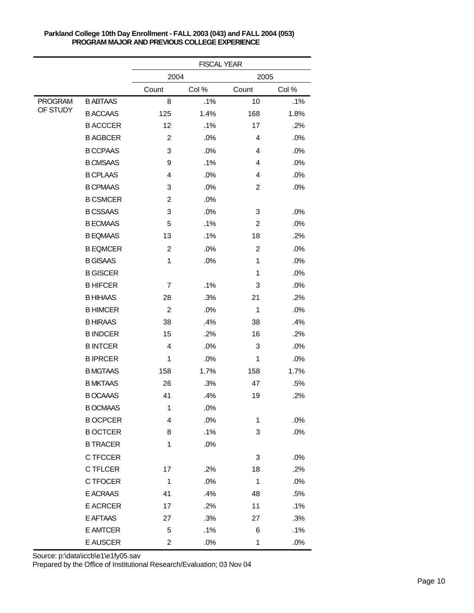|                |                 | <b>FISCAL YEAR</b> |       |                |       |  |
|----------------|-----------------|--------------------|-------|----------------|-------|--|
|                |                 | 2004               |       | 2005           |       |  |
|                |                 | Count              | Col % | Count          | Col % |  |
| <b>PROGRAM</b> | <b>B ABTAAS</b> | 8                  | .1%   | 10             | .1%   |  |
| OF STUDY       | <b>B ACCAAS</b> | 125                | 1.4%  | 168            | 1.8%  |  |
|                | <b>B ACCCER</b> | 12                 | .1%   | 17             | .2%   |  |
|                | <b>B AGBCER</b> | $\overline{c}$     | .0%   | 4              | .0%   |  |
|                | <b>B CCPAAS</b> | 3                  | .0%   | 4              | .0%   |  |
|                | <b>B CMSAAS</b> | 9                  | .1%   | 4              | .0%   |  |
|                | <b>B CPLAAS</b> | 4                  | .0%   | 4              | .0%   |  |
|                | <b>B CPMAAS</b> | 3                  | .0%   | $\overline{c}$ | .0%   |  |
|                | <b>B CSMCER</b> | 2                  | .0%   |                |       |  |
|                | <b>B CSSAAS</b> | 3                  | .0%   | 3              | .0%   |  |
|                | <b>B ECMAAS</b> | 5                  | .1%   | 2              | .0%   |  |
|                | <b>B EQMAAS</b> | 13                 | .1%   | 18             | .2%   |  |
|                | <b>B EQMCER</b> | $\boldsymbol{2}$   | .0%   | $\overline{c}$ | .0%   |  |
|                | <b>B GISAAS</b> | 1                  | .0%   | 1              | .0%   |  |
|                | <b>B GISCER</b> |                    |       | 1              | .0%   |  |
|                | <b>BHIFCER</b>  | 7                  | .1%   | 3              | .0%   |  |
|                | <b>B HIHAAS</b> | 28                 | .3%   | 21             | .2%   |  |
|                | <b>B HIMCER</b> | $\overline{c}$     | .0%   | 1              | .0%   |  |
|                | <b>B HIRAAS</b> | 38                 | .4%   | 38             | .4%   |  |
|                | <b>BINDCER</b>  | 15                 | .2%   | 16             | .2%   |  |
|                | <b>BINTCER</b>  | 4                  | .0%   | 3              | .0%   |  |
|                | <b>BIPRCER</b>  | 1                  | .0%   | 1              | .0%   |  |
|                | <b>B MGTAAS</b> | 158                | 1.7%  | 158            | 1.7%  |  |
|                | <b>B MKTAAS</b> | 26                 | .3%   | 47             | .5%   |  |
|                | <b>B OCAAAS</b> | 41                 | .4%   | 19             | .2%   |  |
|                | <b>B OCMAAS</b> | $\mathbf{1}$       | .0%   |                |       |  |
|                | <b>B OCPCER</b> | 4                  | .0%   | 1              | .0%   |  |
|                | <b>B OCTCER</b> | 8                  | .1%   | 3              | .0%   |  |
|                | <b>B TRACER</b> | 1                  | .0%   |                |       |  |
|                | C TFCCER        |                    |       | 3              | .0%   |  |
|                | <b>CTFLCER</b>  | 17                 | .2%   | 18             | .2%   |  |
|                | C TFOCER        | $\mathbf{1}$       | .0%   | 1              | .0%   |  |
|                | E ACRAAS        | 41                 | .4%   | 48             | .5%   |  |
|                | E ACRCER        | 17                 | .2%   | 11             | .1%   |  |
|                | E AFTAAS        | 27                 | .3%   | 27             | .3%   |  |
|                | E AMTCER        | 5                  | .1%   | 6              | .1%   |  |
|                | E AUSCER        | 2                  | .0%   | $\mathbf 1$    | .0%   |  |

Source: p:\data\iccb\e1\e1fy05.sav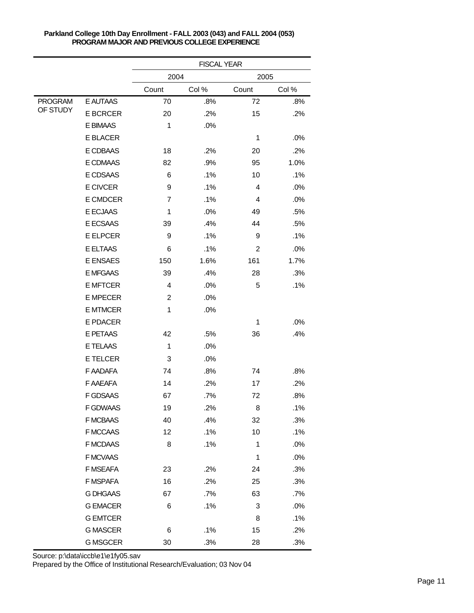|                |                 | <b>FISCAL YEAR</b> |       |             |       |  |
|----------------|-----------------|--------------------|-------|-------------|-------|--|
|                |                 | 2004               |       | 2005        |       |  |
|                |                 | Count              | Col % | Count       | Col % |  |
| <b>PROGRAM</b> | E AUTAAS        | 70                 | .8%   | 72          | .8%   |  |
| OF STUDY       | <b>E BCRCER</b> | 20                 | .2%   | 15          | .2%   |  |
|                | E BIMAAS        | 1                  | .0%   |             |       |  |
|                | E BLACER        |                    |       | 1           | .0%   |  |
|                | E CDBAAS        | 18                 | .2%   | 20          | .2%   |  |
|                | E CDMAAS        | 82                 | .9%   | 95          | 1.0%  |  |
|                | E CDSAAS        | 6                  | .1%   | 10          | .1%   |  |
|                | E CIVCER        | 9                  | .1%   | 4           | .0%   |  |
|                | E CMDCER        | $\overline{7}$     | .1%   | 4           | .0%   |  |
|                | E ECJAAS        | 1                  | .0%   | 49          | .5%   |  |
|                | E ECSAAS        | 39                 | .4%   | 44          | .5%   |  |
|                | <b>E ELPCER</b> | 9                  | .1%   | 9           | .1%   |  |
|                | E ELTAAS        | 6                  | .1%   | 2           | .0%   |  |
|                | E ENSAES        | 150                | 1.6%  | 161         | 1.7%  |  |
|                | E MFGAAS        | 39                 | .4%   | 28          | .3%   |  |
|                | <b>E MFTCER</b> | 4                  | .0%   | 5           | .1%   |  |
|                | <b>E MPECER</b> | $\overline{c}$     | .0%   |             |       |  |
|                | <b>E MTMCER</b> | 1                  | .0%   |             |       |  |
|                | E PDACER        |                    |       | 1           | .0%   |  |
|                | E PETAAS        | 42                 | .5%   | 36          | .4%   |  |
|                | E TELAAS        | 1                  | .0%   |             |       |  |
|                | <b>E TELCER</b> | 3                  | .0%   |             |       |  |
|                | F AADAFA        | 74                 | .8%   | 74          | .8%   |  |
|                | F AAEAFA        | 14                 | .2%   | 17          | .2%   |  |
|                | <b>F GDSAAS</b> | 67                 | .7%   | 72          | .8%   |  |
|                | F GDWAAS        | 19                 | .2%   | 8           | .1%   |  |
|                | F MCBAAS        | 40                 | .4%   | 32          | .3%   |  |
|                | F MCCAAS        | 12                 | .1%   | 10          | .1%   |  |
|                | <b>F MCDAAS</b> | 8                  | .1%   | $\mathbf 1$ | .0%   |  |
|                | F MCVAAS        |                    |       | 1           | .0%   |  |
|                | F MSEAFA        | 23                 | .2%   | 24          | .3%   |  |
|                | F MSPAFA        | 16                 | .2%   | 25          | .3%   |  |
|                | <b>G DHGAAS</b> | 67                 | .7%   | 63          | .7%   |  |
|                | <b>G EMACER</b> | 6                  | .1%   | 3           | .0%   |  |
|                | <b>G EMTCER</b> |                    |       | 8           | .1%   |  |
|                | <b>G MASCER</b> | 6                  | .1%   | 15          | .2%   |  |
|                | <b>G MSGCER</b> | $30\,$             | .3%   | 28          | .3%   |  |

Source: p:\data\iccb\e1\e1fy05.sav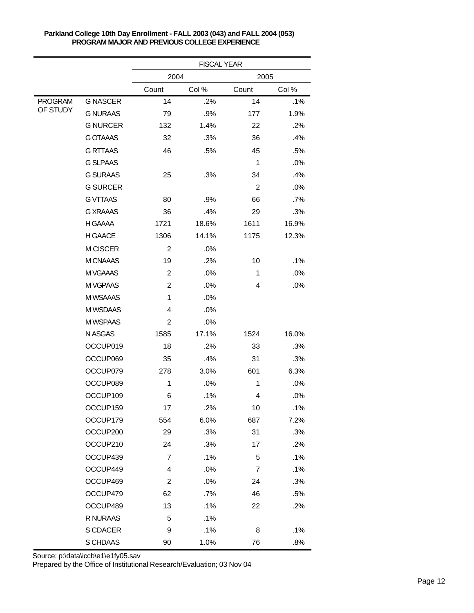|                |                 | <b>FISCAL YEAR</b>      |       |                |        |  |
|----------------|-----------------|-------------------------|-------|----------------|--------|--|
|                |                 | 2004                    |       | 2005           |        |  |
|                |                 | Count                   | Col % | Count          | Col %  |  |
| <b>PROGRAM</b> | <b>G NASCER</b> | 14                      | .2%   | 14             | .1%    |  |
| OF STUDY       | <b>G NURAAS</b> | 79                      | .9%   | 177            | 1.9%   |  |
|                | <b>G NURCER</b> | 132                     | 1.4%  | 22             | .2%    |  |
|                | <b>G OTAAAS</b> | 32                      | .3%   | 36             | .4%    |  |
|                | <b>G RTTAAS</b> | 46                      | .5%   | 45             | .5%    |  |
|                | <b>G SLPAAS</b> |                         |       | $\mathbf 1$    | .0%    |  |
|                | <b>G SURAAS</b> | 25                      | .3%   | 34             | .4%    |  |
|                | <b>G SURCER</b> |                         |       | $\overline{c}$ | .0%    |  |
|                | <b>GVTTAAS</b>  | 80                      | .9%   | 66             | $.7\%$ |  |
|                | <b>G XRAAAS</b> | 36                      | .4%   | 29             | .3%    |  |
|                | H GAAAA         | 1721                    | 18.6% | 1611           | 16.9%  |  |
|                | H GAACE         | 1306                    | 14.1% | 1175           | 12.3%  |  |
|                | M CISCER        | $\overline{c}$          | .0%   |                |        |  |
|                | M CNAAAS        | 19                      | .2%   | 10             | .1%    |  |
|                | M VGAAAS        | $\overline{c}$          | .0%   | 1              | .0%    |  |
|                | M VGPAAS        | $\overline{c}$          | .0%   | 4              | .0%    |  |
|                | M WSAAAS        | 1                       | .0%   |                |        |  |
|                | M WSDAAS        | 4                       | .0%   |                |        |  |
|                | M WSPAAS        | 2                       | .0%   |                |        |  |
|                | N ASGAS         | 1585                    | 17.1% | 1524           | 16.0%  |  |
|                | OCCUP019        | 18                      | .2%   | 33             | .3%    |  |
|                | OCCUP069        | 35                      | .4%   | 31             | .3%    |  |
|                | OCCUP079        | 278                     | 3.0%  | 601            | 6.3%   |  |
|                | OCCUP089        | 1                       | .0%   | 1              | .0%    |  |
|                | OCCUP109        | 6                       | .1%   | 4              | .0%    |  |
|                | OCCUP159        | 17                      | .2%   | 10             | .1%    |  |
|                | OCCUP179        | 554                     | 6.0%  | 687            | 7.2%   |  |
|                | OCCUP200        | 29                      | .3%   | 31             | .3%    |  |
|                | OCCUP210        | 24                      | .3%   | 17             | .2%    |  |
|                | OCCUP439        | $\overline{7}$          | .1%   | 5              | .1%    |  |
|                | OCCUP449        | 4                       | .0%   | 7              | .1%    |  |
|                | OCCUP469        | $\overline{\mathbf{c}}$ | .0%   | 24             | .3%    |  |
|                | OCCUP479        | 62                      | .7%   | 46             | .5%    |  |
|                | OCCUP489        | 13                      | .1%   | 22             | .2%    |  |
|                | R NURAAS        | 5                       | .1%   |                |        |  |
|                | S CDACER        | 9                       | .1%   | 8              | .1%    |  |
|                | S CHDAAS        | 90                      | 1.0%  | 76             | .8%    |  |

Source: p:\data\iccb\e1\e1fy05.sav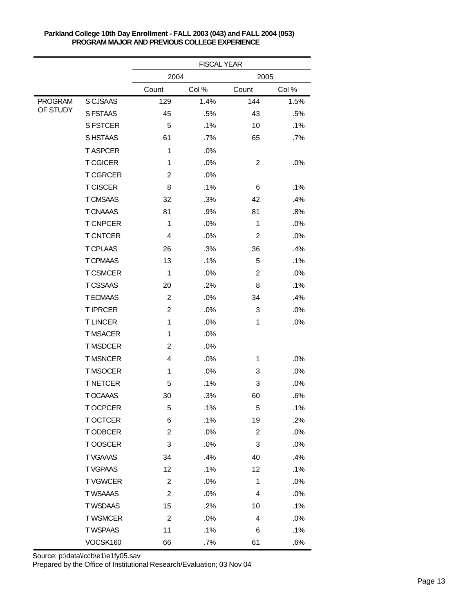|                |                 | <b>FISCAL YEAR</b> |       |                         |        |  |
|----------------|-----------------|--------------------|-------|-------------------------|--------|--|
|                |                 | 2004               |       | 2005                    |        |  |
|                |                 | Count              | Col % | Count                   | Col %  |  |
| <b>PROGRAM</b> | S CJSAAS        | 129                | 1.4%  | 144                     | 1.5%   |  |
| OF STUDY       | S FSTAAS        | 45                 | .5%   | 43                      | .5%    |  |
|                | <b>S FSTCER</b> | 5                  | .1%   | 10                      | .1%    |  |
|                | S HSTAAS        | 61                 | .7%   | 65                      | $.7\%$ |  |
|                | <b>TASPCER</b>  | 1                  | .0%   |                         |        |  |
|                | <b>T CGICER</b> | 1                  | .0%   | $\overline{c}$          | .0%    |  |
|                | <b>TCGRCER</b>  | $\overline{c}$     | .0%   |                         |        |  |
|                | <b>T CISCER</b> | 8                  | .1%   | 6                       | .1%    |  |
|                | <b>T CMSAAS</b> | 32                 | .3%   | 42                      | .4%    |  |
|                | <b>T CNAAAS</b> | 81                 | .9%   | 81                      | .8%    |  |
|                | <b>T CNPCER</b> | 1                  | .0%   | 1                       | .0%    |  |
|                | <b>T CNTCER</b> | $\overline{4}$     | .0%   | $\overline{c}$          | .0%    |  |
|                | <b>T CPLAAS</b> | 26                 | .3%   | 36                      | .4%    |  |
|                | <b>T CPMAAS</b> | 13                 | .1%   | 5                       | .1%    |  |
|                | <b>T CSMCER</b> | $\mathbf{1}$       | .0%   | $\overline{c}$          | .0%    |  |
|                | <b>T CSSAAS</b> | 20                 | .2%   | 8                       | .1%    |  |
|                | <b>T ECMAAS</b> | $\overline{c}$     | .0%   | 34                      | .4%    |  |
|                | <b>TIPRCER</b>  | $\overline{c}$     | .0%   | 3                       | .0%    |  |
|                | <b>TLINCER</b>  | 1                  | .0%   | 1                       | .0%    |  |
|                | <b>TMSACER</b>  | 1                  | .0%   |                         |        |  |
|                | <b>TMSDCER</b>  | $\overline{c}$     | .0%   |                         |        |  |
|                | <b>TMSNCER</b>  | $\overline{4}$     | .0%   | 1                       | .0%    |  |
|                | <b>TMSOCER</b>  | 1                  | .0%   | 3                       | .0%    |  |
|                | <b>T NETCER</b> | 5                  | .1%   | 3                       | .0%    |  |
|                | T OCAAAS        | 30                 | .3%   | 60                      | .6%    |  |
|                | <b>TOCPCER</b>  | 5                  | .1%   | 5                       | .1%    |  |
|                | <b>TOCTCER</b>  | 6                  | .1%   | 19                      | .2%    |  |
|                | T ODBCER        | $\overline{c}$     | .0%   | $\boldsymbol{2}$        | .0%    |  |
|                | TOOSCER         | 3                  | .0%   | 3                       | .0%    |  |
|                | <b>TVGAAAS</b>  | 34                 | .4%   | 40                      | .4%    |  |
|                | <b>TVGPAAS</b>  | 12                 | .1%   | 12                      | .1%    |  |
|                | <b>TVGWCER</b>  | $\overline{c}$     | .0%   | 1                       | .0%    |  |
|                | <b>TWSAAAS</b>  | $\boldsymbol{2}$   | .0%   | 4                       | .0%    |  |
|                | <b>TWSDAAS</b>  | 15                 | .2%   | 10                      | .1%    |  |
|                | <b>TWSMCER</b>  | $\overline{c}$     | .0%   | $\overline{\mathbf{4}}$ | .0%    |  |
|                | <b>TWSPAAS</b>  | 11                 | .1%   | 6                       | .1%    |  |
|                | VOCSK160        | 66                 | .7%   | 61                      | .6%    |  |

Source: p:\data\iccb\e1\e1fy05.sav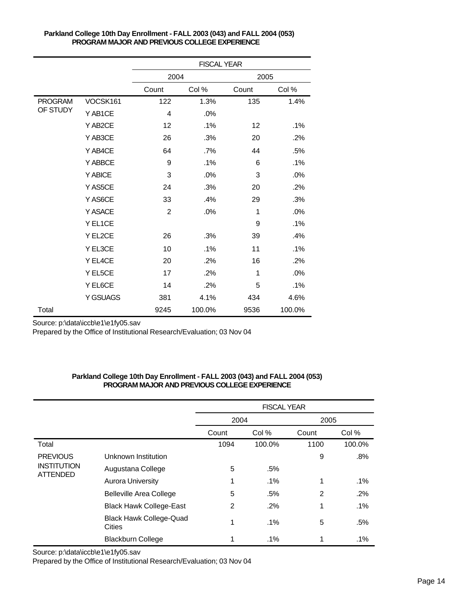|                |          | <b>FISCAL YEAR</b> |        |       |        |  |
|----------------|----------|--------------------|--------|-------|--------|--|
|                |          | 2004               |        | 2005  |        |  |
|                |          | Count              | Col %  | Count | Col %  |  |
| <b>PROGRAM</b> | VOCSK161 | 122                | 1.3%   | 135   | 1.4%   |  |
| OF STUDY       | Y AB1CE  | 4                  | .0%    |       |        |  |
|                | Y AB2CE  | 12                 | .1%    | 12    | .1%    |  |
|                | Y AB3CE  | 26                 | .3%    | 20    | .2%    |  |
|                | Y AB4CE  | 64                 | .7%    | 44    | .5%    |  |
|                | Y ABBCE  | 9                  | .1%    | 6     | .1%    |  |
|                | Y ABICE  | 3                  | .0%    | 3     | .0%    |  |
|                | Y AS5CE  | 24                 | .3%    | 20    | .2%    |  |
|                | Y AS6CE  | 33                 | .4%    | 29    | .3%    |  |
|                | Y ASACE  | $\overline{2}$     | .0%    | 1     | .0%    |  |
|                | Y EL1CE  |                    |        | 9     | .1%    |  |
|                | Y EL2CE  | 26                 | .3%    | 39    | .4%    |  |
|                | Y EL3CE  | 10                 | .1%    | 11    | .1%    |  |
|                | Y EL4CE  | 20                 | .2%    | 16    | .2%    |  |
|                | Y EL5CE  | 17                 | .2%    | 1     | .0%    |  |
|                | Y EL6CE  | 14                 | .2%    | 5     | .1%    |  |
|                | Y GSUAGS | 381                | 4.1%   | 434   | 4.6%   |  |
| Total          |          | 9245               | 100.0% | 9536  | 100.0% |  |

Source: p:\data\iccb\e1\e1fy05.sav

Prepared by the Office of Institutional Research/Evaluation; 03 Nov 04

## **Parkland College 10th Day Enrollment - FALL 2003 (043) and FALL 2004 (053) PROGRAM MAJOR AND PREVIOUS COLLEGE EXPERIENCE**

|                                                          |                                          | <b>FISCAL YEAR</b> |        |       |        |
|----------------------------------------------------------|------------------------------------------|--------------------|--------|-------|--------|
|                                                          |                                          | 2004               |        | 2005  |        |
|                                                          |                                          | Count              | Col %  | Count | Col %  |
| Total                                                    |                                          | 1094               | 100.0% | 1100  | 100.0% |
| <b>PREVIOUS</b><br><b>INSTITUTION</b><br><b>ATTENDED</b> | Unknown Institution                      |                    |        | 9     | .8%    |
|                                                          | Augustana College                        | 5                  | .5%    |       |        |
|                                                          | Aurora University                        | 1                  | $.1\%$ | 1     | $.1\%$ |
|                                                          | <b>Belleville Area College</b>           | 5                  | .5%    | 2     | .2%    |
|                                                          | <b>Black Hawk College-East</b>           | 2                  | .2%    | 1     | $.1\%$ |
|                                                          | <b>Black Hawk College-Quad</b><br>Cities | 1                  | .1%    | 5     | .5%    |
|                                                          | <b>Blackburn College</b>                 | 1                  | $.1\%$ | 1     | .1%    |

Source: p:\data\iccb\e1\e1fy05.sav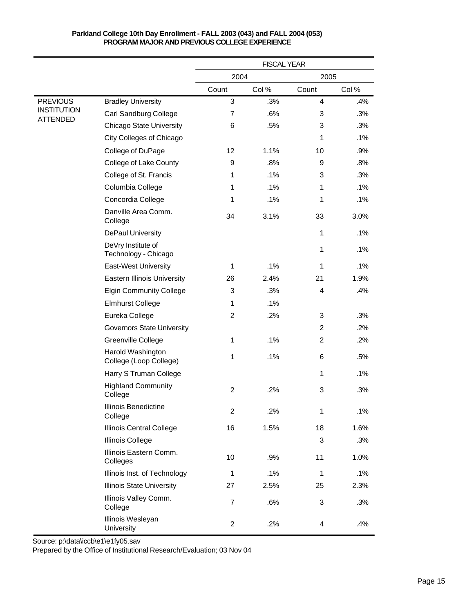|                                       |                                             | <b>FISCAL YEAR</b> |       |                |        |
|---------------------------------------|---------------------------------------------|--------------------|-------|----------------|--------|
|                                       |                                             | 2004               |       | 2005           |        |
|                                       |                                             | Count              | Col % | Count          | Col %  |
| <b>PREVIOUS</b>                       | <b>Bradley University</b>                   | 3                  | .3%   | $\overline{4}$ | .4%    |
| <b>INSTITUTION</b><br><b>ATTENDED</b> | Carl Sandburg College                       | $\overline{7}$     | .6%   | 3              | .3%    |
|                                       | <b>Chicago State University</b>             | 6                  | .5%   | 3              | .3%    |
|                                       | City Colleges of Chicago                    |                    |       | 1              | .1%    |
|                                       | College of DuPage                           | 12                 | 1.1%  | 10             | .9%    |
|                                       | College of Lake County                      | 9                  | .8%   | 9              | .8%    |
|                                       | College of St. Francis                      | 1                  | .1%   | 3              | .3%    |
|                                       | Columbia College                            | 1                  | .1%   | 1              | .1%    |
|                                       | Concordia College                           | 1                  | .1%   | 1              | .1%    |
|                                       | Danville Area Comm.<br>College              | 34                 | 3.1%  | 33             | 3.0%   |
|                                       | <b>DePaul University</b>                    |                    |       | 1              | .1%    |
|                                       | DeVry Institute of<br>Technology - Chicago  |                    |       | 1              | .1%    |
|                                       | <b>East-West University</b>                 | $\mathbf{1}$       | .1%   | 1              | .1%    |
|                                       | <b>Eastern Illinois University</b>          | 26                 | 2.4%  | 21             | 1.9%   |
|                                       | <b>Elgin Community College</b>              | 3                  | .3%   | 4              | .4%    |
|                                       | <b>Elmhurst College</b>                     | 1                  | .1%   |                |        |
|                                       | Eureka College                              | $\overline{2}$     | .2%   | 3              | .3%    |
|                                       | <b>Governors State University</b>           |                    |       | $\overline{2}$ | .2%    |
|                                       | Greenville College                          | 1                  | .1%   | $\overline{c}$ | $.2\%$ |
|                                       | Harold Washington<br>College (Loop College) | 1                  | .1%   | 6              | .5%    |
|                                       | Harry S Truman College                      |                    |       | 1              | .1%    |
|                                       | <b>Highland Community</b><br>College        | $\overline{2}$     | .2%   | 3              | .3%    |
|                                       | Illinois Benedictine<br>College             | $\overline{c}$     | .2%   | 1              | .1%    |
|                                       | Illinois Central College                    | 16                 | 1.5%  | 18             | 1.6%   |
|                                       | <b>Illinois College</b>                     |                    |       | 3              | .3%    |
|                                       | Illinois Eastern Comm.<br>Colleges          | 10                 | .9%   | 11             | 1.0%   |
|                                       | Illinois Inst. of Technology                | $\mathbf{1}$       | .1%   | 1              | .1%    |
|                                       | <b>Illinois State University</b>            | 27                 | 2.5%  | 25             | 2.3%   |
|                                       | Illinois Valley Comm.<br>College            | $\overline{7}$     | .6%   | 3              | .3%    |
|                                       | Illinois Wesleyan<br>University             | $\overline{2}$     | .2%   | 4              | .4%    |

Source: p:\data\iccb\e1\e1fy05.sav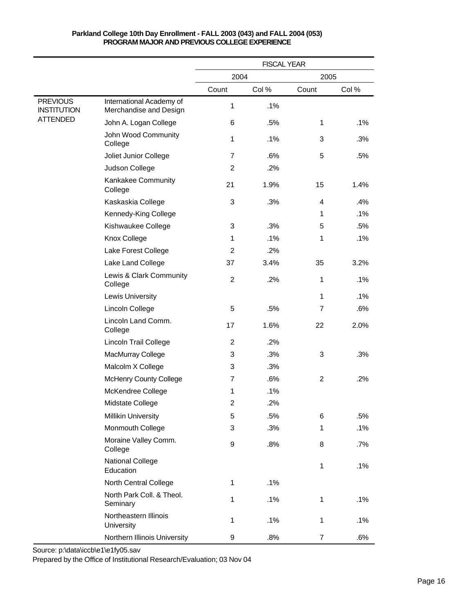|                                       |                                                    | <b>FISCAL YEAR</b> |       |                |       |
|---------------------------------------|----------------------------------------------------|--------------------|-------|----------------|-------|
|                                       |                                                    | 2004               |       | 2005           |       |
|                                       |                                                    | Count              | Col % | Count          | Col % |
| <b>PREVIOUS</b><br><b>INSTITUTION</b> | International Academy of<br>Merchandise and Design | $\mathbf 1$        | .1%   |                |       |
| <b>ATTENDED</b>                       | John A. Logan College                              | 6                  | .5%   | 1              | .1%   |
|                                       | John Wood Community<br>College                     | 1                  | .1%   | 3              | .3%   |
|                                       | Joliet Junior College                              | $\overline{7}$     | .6%   | 5              | .5%   |
|                                       | Judson College                                     | $\overline{2}$     | .2%   |                |       |
|                                       | Kankakee Community<br>College                      | 21                 | 1.9%  | 15             | 1.4%  |
|                                       | Kaskaskia College                                  | 3                  | .3%   | 4              | .4%   |
|                                       | Kennedy-King College                               |                    |       | 1              | .1%   |
|                                       | Kishwaukee College                                 | 3                  | .3%   | 5              | .5%   |
|                                       | Knox College                                       | 1                  | .1%   | 1              | .1%   |
|                                       | Lake Forest College                                | $\overline{2}$     | .2%   |                |       |
|                                       | Lake Land College                                  | 37                 | 3.4%  | 35             | 3.2%  |
|                                       | Lewis & Clark Community<br>College                 | $\overline{2}$     | .2%   | 1              | .1%   |
|                                       | Lewis University                                   |                    |       | 1              | .1%   |
|                                       | Lincoln College                                    | 5                  | .5%   | $\overline{7}$ | .6%   |
|                                       | Lincoln Land Comm.<br>College                      | 17                 | 1.6%  | 22             | 2.0%  |
|                                       | Lincoln Trail College                              | $\overline{2}$     | .2%   |                |       |
|                                       | MacMurray College                                  | 3                  | .3%   | 3              | .3%   |
|                                       | Malcolm X College                                  | 3                  | .3%   |                |       |
|                                       | <b>McHenry County College</b>                      | $\overline{7}$     | .6%   | $\overline{2}$ | .2%   |
|                                       | McKendree College                                  | 1                  | .1%   |                |       |
|                                       | Midstate College                                   | $\overline{2}$     | .2%   |                |       |
|                                       | <b>Millikin University</b>                         | 5                  | .5%   | 6              | .5%   |
|                                       | Monmouth College                                   | 3                  | .3%   | 1              | .1%   |
|                                       | Moraine Valley Comm.<br>College                    | 9                  | .8%   | 8              | .7%   |
|                                       | <b>National College</b><br>Education               |                    |       | 1              | .1%   |
|                                       | North Central College                              | 1                  | .1%   |                |       |
|                                       | North Park Coll. & Theol.<br>Seminary              | 1                  | .1%   | 1              | .1%   |
|                                       | Northeastern Illinois<br>University                | 1                  | .1%   | 1              | .1%   |
|                                       | Northern Illinois University                       | 9                  | .8%   | $\overline{7}$ | .6%   |

Source: p:\data\iccb\e1\e1fy05.sav Prepared by the Office of Institutional Research/Evaluation; 03 Nov 04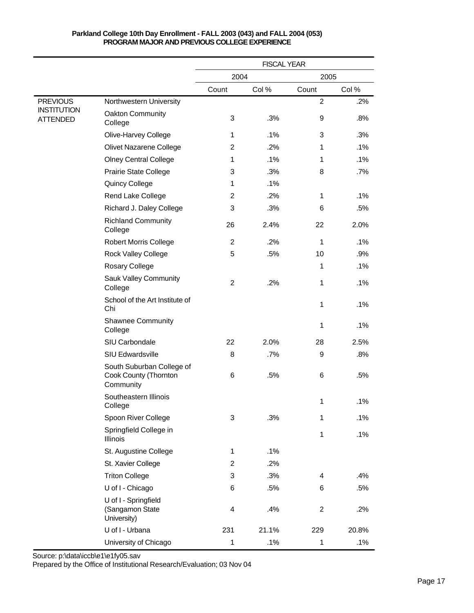#### 2 .2% 3 .3% 9 .8% 1 .1% 3 .3% 2 .2% 1 .1% 1 .1% 1 .1% 3 .3% 8 .7% 1 .1% 2 .2% 1 .1% 3 .3% 6 .5% 26 2.4% 22 2.0% 2 .2% 1 .1% 5 .5% 10 .9% 1 .1% 2 .2% 1 .1% 1 .1% 1 .1% 22 2.0% 28 2.5% 8 .7% 9 .8% 6 .5% 6 .5% 1 .1% 3 .3% 1 .1% 1 .1% 1 .1% 2 .2% 3 .3% 4 .4% 6 .5% 6 .5% 4 .4% 2 .2% 231 21.1% 229 20.8% 1 .1% 1 .1% Northwestern University Oakton Community College Olive-Harvey College Olivet Nazarene College Olney Central College Prairie State College Quincy College Rend Lake College Richard J. Daley College Richland Community College Robert Morris College Rock Valley College Rosary College Sauk Valley Community College School of the Art Institute of Chi Shawnee Community College SIU Carbondale SIU Edwardsville South Suburban College of Cook County (Thornton **Community** Southeastern Illinois College Spoon River College Springfield College in Illinois St. Augustine College St. Xavier College Triton College U of I - Chicago U of I - Springfield (Sangamon State University) U of I - Urbana University of Chicago **PREVIOUS** INSTITUTION ATTENDED Count Col % 2004 Count Col % 2005 FISCAL YEAR

# **Parkland College 10th Day Enrollment - FALL 2003 (043) and FALL 2004 (053) PROGRAM MAJOR AND PREVIOUS COLLEGE EXPERIENCE**

Source: p:\data\iccb\e1\e1fy05.sav Prepared by the Office of Institutional Research/Evaluation; 03 Nov 04